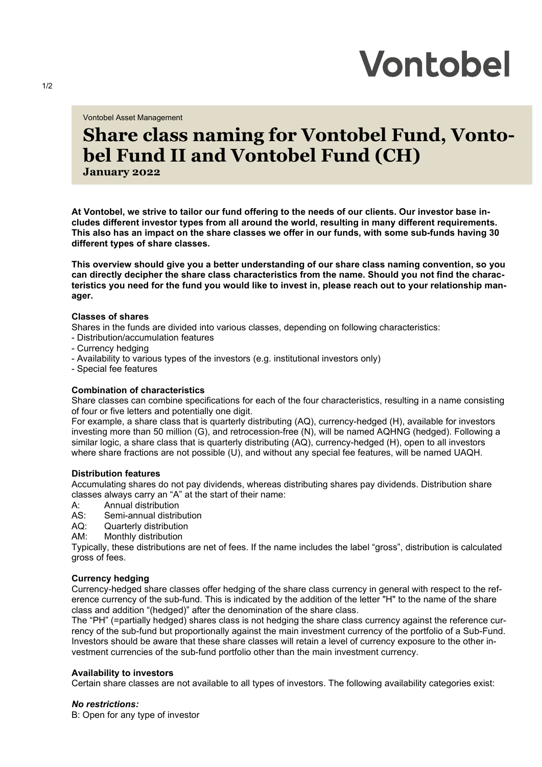# **Vontobel**

Vontobel Asset Management

# **Share class naming for Vontobel Fund, Vontobel Fund II and Vontobel Fund (CH)**

**January 2022**

**At Vontobel, we strive to tailor our fund offering to the needs of our clients. Our investor base includes different investor types from all around the world, resulting in many different requirements. This also has an impact on the share classes we offer in our funds, with some sub-funds having 30 different types of share classes.** 

**This overview should give you a better understanding of our share class naming convention, so you can directly decipher the share class characteristics from the name. Should you not find the characteristics you need for the fund you would like to invest in, please reach out to your relationship manager.**

#### **Classes of shares**

Shares in the funds are divided into various classes, depending on following characteristics:

- Distribution/accumulation features
- Currency hedging
- Availability to various types of the investors (e.g. institutional investors only)
- Special fee features

# **Combination of characteristics**

Share classes can combine specifications for each of the four characteristics, resulting in a name consisting of four or five letters and potentially one digit.

For example, a share class that is quarterly distributing (AQ), currency-hedged (H), available for investors investing more than 50 million (G), and retrocession-free (N), will be named AQHNG (hedged). Following a similar logic, a share class that is quarterly distributing (AQ), currency-hedged (H), open to all investors where share fractions are not possible (U), and without any special fee features, will be named UAQH.

#### **Distribution features**

Accumulating shares do not pay dividends, whereas distributing shares pay dividends. Distribution share classes always carry an "A" at the start of their name:<br>A: Annual distribution

- A: Annual distribution<br>AS: Semi-annual distrib
- AS: Semi-annual distribution<br>AQ: Quarterly distribution
- Quarterly distribution
- AM: Monthly distribution

Typically, these distributions are net of fees. If the name includes the label "gross", distribution is calculated gross of fees.

#### **Currency hedging**

Currency-hedged share classes offer hedging of the share class currency in general with respect to the reference currency of the sub-fund. This is indicated by the addition of the letter "H" to the name of the share class and addition "(hedged)" after the denomination of the share class.

The "PH" (=partially hedged) shares class is not hedging the share class currency against the reference currency of the sub-fund but proportionally against the main investment currency of the portfolio of a Sub-Fund. Investors should be aware that these share classes will retain a level of currency exposure to the other investment currencies of the sub-fund portfolio other than the main investment currency.

#### **Availability to investors**

Certain share classes are not available to all types of investors. The following availability categories exist:

#### *No restrictions:*

B: Open for any type of investor